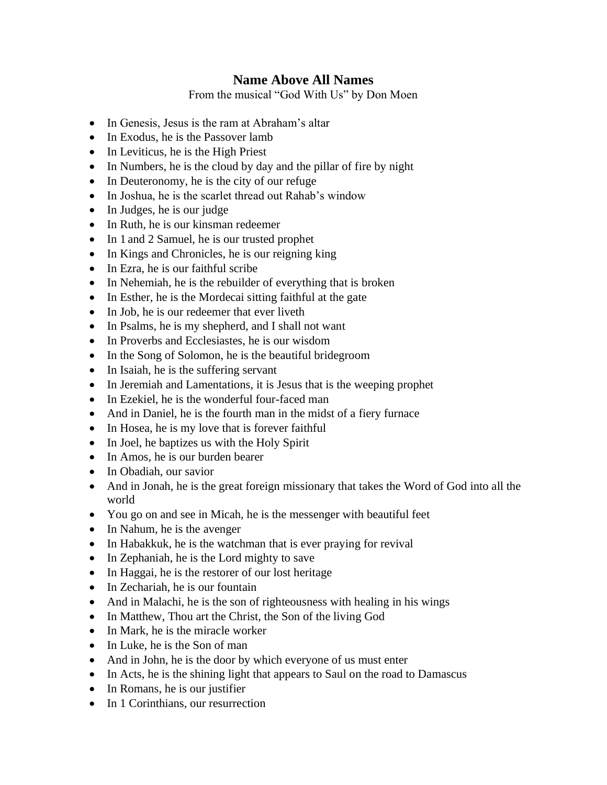## **Name Above All Names**

From the musical "God With Us" by Don Moen

- In Genesis, Jesus is the ram at Abraham's altar
- In Exodus, he is the Passover lamb
- In Leviticus, he is the High Priest
- In Numbers, he is the cloud by day and the pillar of fire by night
- In Deuteronomy, he is the city of our refuge
- In Joshua, he is the scarlet thread out Rahab's window
- In Judges, he is our judge
- In Ruth, he is our kinsman redeemer
- In 1 and 2 Samuel, he is our trusted prophet
- In Kings and Chronicles, he is our reigning king
- In Ezra, he is our faithful scribe
- In Nehemiah, he is the rebuilder of everything that is broken
- In Esther, he is the Mordecai sitting faithful at the gate
- In Job, he is our redeemer that ever liveth
- In Psalms, he is my shepherd, and I shall not want
- In Proverbs and Ecclesiastes, he is our wisdom
- In the Song of Solomon, he is the beautiful bridegroom
- In Isaiah, he is the suffering servant
- In Jeremiah and Lamentations, it is Jesus that is the weeping prophet
- In Ezekiel, he is the wonderful four-faced man
- And in Daniel, he is the fourth man in the midst of a fiery furnace
- In Hosea, he is my love that is forever faithful
- In Joel, he baptizes us with the Holy Spirit
- In Amos, he is our burden bearer
- In Obadiah, our savior
- And in Jonah, he is the great foreign missionary that takes the Word of God into all the world
- You go on and see in Micah, he is the messenger with beautiful feet
- In Nahum, he is the avenger
- In Habakkuk, he is the watchman that is ever praying for revival
- In Zephaniah, he is the Lord mighty to save
- In Haggai, he is the restorer of our lost heritage
- In Zechariah, he is our fountain
- And in Malachi, he is the son of righteousness with healing in his wings
- In Matthew, Thou art the Christ, the Son of the living God
- In Mark, he is the miracle worker
- In Luke, he is the Son of man
- And in John, he is the door by which everyone of us must enter
- In Acts, he is the shining light that appears to Saul on the road to Damascus
- In Romans, he is our justifier
- In 1 Corinthians, our resurrection